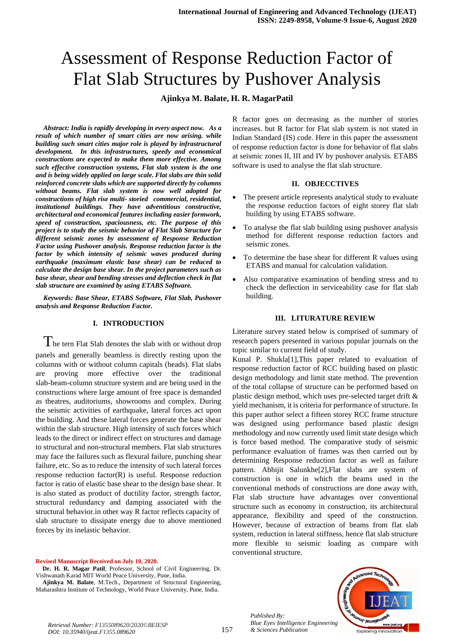# Assessment of Response Reduction Factor of Flat Slab Structures by Pushover Analysis

## **Ajinkya M. Balate, H. R. MagarPatil**

*Abstract: India is rapidly developing in every aspect now. As a result of which number of smart cities are now arising. while building such smart cities major role is played by infrastructural development. In this infrastructures, speedy and economical constructions are expected to make them more effective. Among such effective construction systems, Flat slab system is the one and is being widely applied on large scale. Flat slabs are thin solid reinforced concrete slabs which are supported directly by columns without beams. Flat slab system is now well adopted for constructions of high rise multi- storied commercial, residential, institutional buildings. They have adventitious constructive, architectural and economical features including easier formwork, speed of construction, spaciousness, etc. The purpose of this project is to study the seismic behavior of Flat Slab Structure for different seismic zones by assessment of Response Reduction Factor using Pushover analysis. Response reduction factor is the factor by which intensity of seismic waves produced during earthquake (maximum elastic base shear) can be reduced to calculate the design base shear. In the project parameters such as base shear, shear and bending stresses and deflection check in flat slab structure are examined by using ETABS Software.*

*Keywords: Base Shear, ETABS Software, Flat Slab, Pushover analysis and Response Reduction Factor.*

## **I. INTRODUCTION**

 $T$ he tern Flat Slab denotes the slab with or without drop panels and generally beamless is directly resting upon the columns with or without column capitals (heads). Flat slabs are proving more effective over the traditional slab-beam-column structure system and are being used in the constructions where large amount of free space is demanded as theatres, auditoriums, showrooms and complex. During the seismic activities of earthquake, lateral forces act upon the building. And these lateral forces generate the base shear within the slab structure. High intensity of such forces which leads to the direct or indirect effect on structures and damage to structural and non-structural members. Flat slab structures may face the failures such as flexural failure, punching shear failure, etc. So as to reduce the intensity of such lateral forces response reduction factor(R) is useful. Response reduction factor is ratio of elastic base shear to the design base shear. It is also stated as product of ductility factor, strength factor, structural redundancy and damping associated with the structural behavior.in other way R factor reflects capacity of slab structure to dissipate energy due to above mentioned forces by its inelastic behavior.

#### **Revised Manuscript Received on July 10, 2020.**

**Dr. H. R. Magar Patil**, Professor, School of Civil Engineering, Dr. Vishwanath Karad MIT World Peace University, Pune, India.

**Ajinkya M. Balate**, M.Tech., Department of Structural Engineering, Maharashtra Institute of Technology, World Peace University, Pune, India.

R factor goes on decreasing as the number of stories increases. but R factor for Flat slab system is not stated in Indian Standard (IS) code. Here in this paper the assessment of response reduction factor is done for behavior of flat slabs at seismic zones II, III and IV by pushover analysis. ETABS software is used to analyse the flat slab structure.

#### **II. OBJECCTIVES**

- The present article represents analytical study to evaluate the response reduction factors of eight storey flat slab building by using ETABS software.
- To analyse the flat slab building using pushover analysis method for different response reduction factors and seismic zones.
- To determine the base shear for different R values using ETABS and manual for calculation validation.
- Also comparative examination of bending stress and to check the deflection in serviceability case for flat slab building.

#### **III. LITURATURE REVIEW**

Literature survey stated below is comprised of summary of research papers presented in various popular journals on the topic similar to current field of study.

Kunal P. Shukla[1],This paper related to evaluation of response reduction factor of RCC building based on plastic design methodology and limit state method. The prevention of the total collapse of structure can be performed based on plastic design method, which uses pre-selected target drift & yield mechanism, it is criteria for performance of structure. In this paper author select a fifteen storey RCC frame structure was designed using performance based plastic design methodology and now currently used limit state design which is force based method. The comparative study of seismic performance evaluation of frames was then carried out by determining Response reduction factor as well as failure pattern. Abhijit Salunkhe[2],Flat slabs are system of construction is one in which the beams used in the conventional methods of constructions are done away with, Flat slab structure have advantages over conventional structure such as economy in construction, its architectural appearance, flexibility and speed of the construction. However, because of extraction of beams from flat slab system, reduction in lateral stiffness, hence flat slab structure more flexible to seismic loading as compare with conventional structure.



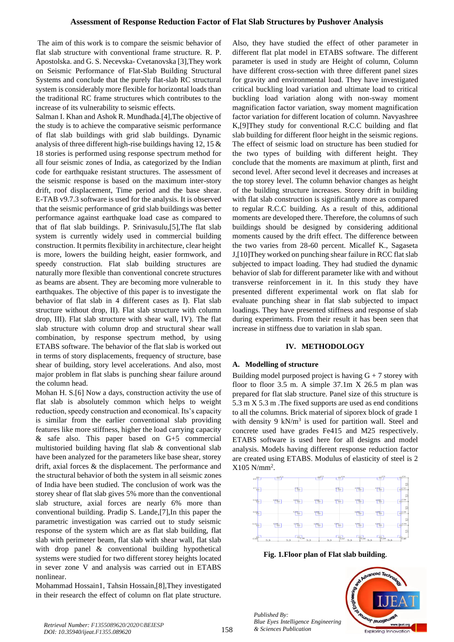The aim of this work is to compare the seismic behavior of flat slab structure with conventional frame structure. R. P. Apostolska. and G. S. Necevska- Cvetanovska [3],They work on Seismic Performance of Flat-Slab Building Structural Systems and conclude that the purely flat-slab RC structural system is considerably more flexible for horizontal loads than the traditional RC frame structures which contributes to the increase of its vulnerability to seismic effects.

Salman I. Khan and Ashok R. Mundhada.[4],The objective of the study is to achieve the comparative seismic performance of flat slab buildings with grid slab buildings. Dynamic analysis of three different high-rise buildings having 12, 15 & 18 stories is performed using response spectrum method for all four seismic zones of India, as categorized by the Indian code for earthquake resistant structures. The assessment of the seismic response is based on the maximum inter-story drift, roof displacement, Time period and the base shear. E-TAB v9.7.3 software is used for the analysis. It is observed that the seismic performance of grid slab buildings was better performance against earthquake load case as compared to that of flat slab buildings. P. Srinivasulu,[5],The flat slab system is currently widely used in commercial building construction. It permits flexibility in architecture, clear height is more, lowers the building height, easier formwork, and speedy construction. Flat slab building structures are naturally more flexible than conventional concrete structures as beams are absent. They are becoming more vulnerable to earthquakes. The objective of this paper is to investigate the behavior of flat slab in 4 different cases as I). Flat slab structure without drop, II). Flat slab structure with column drop, III). Flat slab structure with shear wall, IV). The flat slab structure with column drop and structural shear wall combination, by response spectrum method, by using ETABS software. The behavior of the flat slab is worked out in terms of story displacements, frequency of structure, base shear of building, story level accelerations. And also, most major problem in flat slabs is punching shear failure around the column head.

Mohan H. S.[6] Now a days, construction activity the use of flat slab is absolutely common which helps to weight reduction, speedy construction and economical. Its's capacity is similar from the earlier conventional slab providing features like more stiffness, higher the load carrying capacity & safe also. This paper based on G+5 commercial multistoried building having flat slab & conventional slab have been analyzed for the parameters like base shear, storey drift, axial forces & the displacement. The performance and the structural behavior of both the system in all seismic zones of India have been studied. The conclusion of work was the storey shear of flat slab gives 5% more than the conventional slab structure, axial forces are nearly 6% more than conventional building. Pradip S. Lande,[7],In this paper the parametric investigation was carried out to study seismic response of the system which are as flat slab building, flat slab with perimeter beam, flat slab with shear wall, flat slab with drop panel & conventional building hypothetical systems were studied for two different storey heights located in sever zone V and analysis was carried out in ETABS nonlinear.

Mohammad Hossain1, Tahsin Hossain,[8],They investigated in their research the effect of column on flat plate structure.

Also, they have studied the effect of other parameter in different flat plat model in ETABS software. The different parameter is used in study are Height of column, Column have different cross-section with three different panel sizes for gravity and environmental load. They have investigated critical buckling load variation and ultimate load to critical buckling load variation along with non-sway moment magnification factor variation, sway moment magnification factor variation for different location of column. Navyashree K,[9]They study for conventional R.C.C building and flat slab building for different floor height in the seismic regions. The effect of seismic load on structure has been studied for the two types of building with different height. They conclude that the moments are maximum at plinth, first and second level. After second level it decreases and increases at the top storey level. The column behavior changes as height of the building structure increases. Storey drift in building with flat slab construction is significantly more as compared to regular R.C.C building. As a result of this, additional moments are developed there. Therefore, the columns of such buildings should be designed by considering additional moments caused by the drift effect. The difference between the two varies from 28-60 percent. Micallef K., Sagaseta J,[10]They worked on punching shear failure in RCC flat slab subjected to impact loading. They had studied the dynamic behavior of slab for different parameter like with and without transverse reinforcement in it. In this study they have presented different experimental work on flat slab for evaluate punching shear in flat slab subjected to impact loadings. They have presented stiffness and response of slab during experiments. From their result it has been seen that increase in stiffness due to variation in slab span.

## **IV. METHODOLOGY**

## **A. Modelling of structure**

Building model purposed project is having  $G + 7$  storey with floor to floor 3.5 m. A simple 37.1m X 26.5 m plan was prepared for flat slab structure. Panel size of this structure is 5.3 m X 5.3 m .The fixed supports are used as end conditions to all the columns. Brick material of siporex block of grade 1 with density  $9 \text{ kN/m}^3$  is used for partition wall. Steel and concrete used have grades Fe415 and M25 respectively. ETABS software is used here for all designs and model analysis. Models having different response reduction factor are created using ETABS. Modulus of elasticity of steel is 2  $X105$  N/mm<sup>2</sup>.



**Fig. 1.Floor plan of Flat slab building.**

*Published By: Blue Eyes Intelligence Engineering* 

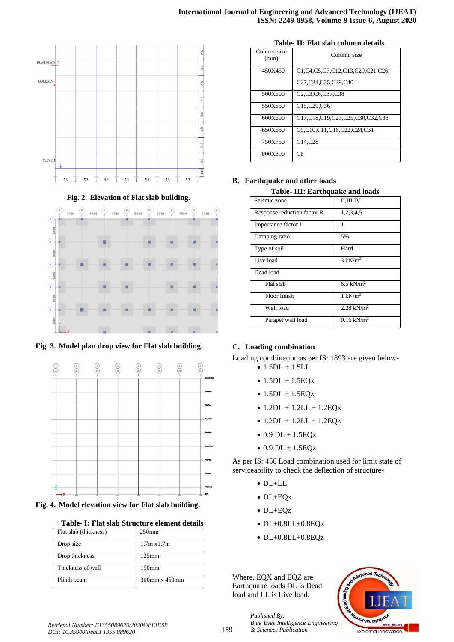





**Fig. 3. Model plan drop view for Flat slab building.** 



**Fig. 4. Model elevation view for Flat slab building.**

| Table- I: Flat slab Structure element details |  |  |  |
|-----------------------------------------------|--|--|--|
|-----------------------------------------------|--|--|--|

| Flat slab (thickness) | 250 <sub>mm</sub>  |
|-----------------------|--------------------|
| Drop size             | $1.7m \times 1.7m$ |
| Drop thickness        | $125 \text{mm}$    |
| Thickness of wall     | 150 <sub>mm</sub>  |
| Plinth beam           | 300mm x 450mm      |

| Table- II: Flat slab column details |  |  |  |  |  |  |
|-------------------------------------|--|--|--|--|--|--|
|-------------------------------------|--|--|--|--|--|--|

| Column size<br>(mm) | Column size                                                                         |
|---------------------|-------------------------------------------------------------------------------------|
| 450X450             | C1.C4.C5,C7,C12,C13,C20,C21,C26,                                                    |
|                     | C <sub>27</sub> ,C <sub>34</sub> ,C <sub>35</sub> ,C <sub>39</sub> ,C <sub>40</sub> |
| 500X500             | C <sub>2</sub> ,C <sub>3</sub> ,C <sub>6</sub> ,C <sub>37</sub> ,C <sub>38</sub>    |
| 550X550             | C15,C29,C36                                                                         |
| 600X600             | C17,C18,C19,C23,C25,C30,C32,C33                                                     |
| 650X650             | C9,C10,C11,C16,C22,C24,C31                                                          |
| 750X750             | C <sub>14</sub> , C <sub>28</sub>                                                   |
| 800X800             | C8                                                                                  |

## **B. Earthquake and other loads**

**Table- III: Earthquake and loads**

| Seismic zone                | II,III,IV                |
|-----------------------------|--------------------------|
| Response reduction factor R | 1,2,3,4,5                |
| Importance factor I         |                          |
| Damping ratio               | 5%                       |
| Type of soil                | Hard                     |
| Live load                   | $3 \text{ kN/m}^2$       |
| Dead load                   |                          |
| Flat slab                   | 6.5 kN/ $m2$             |
| Floor finish                | $1 \text{ kN/m}^2$       |
| Wall load                   | 2.28 kN/ $m^2$           |
| Parapet wall load           | $0.16$ kN/m <sup>2</sup> |

## **C. Loading combination**

Loading combination as per IS: 1893 are given below-

- $\bullet$  1.5DL + 1.5LL
- $1.5DL \pm 1.5EQx$
- $1.5DL \pm 1.5EQz$
- $1.2DL + 1.2LL + 1.2EQx$
- $1.2DL + 1.2LL + 1.2EQz$
- $\bullet$  0.9 DL  $\pm$  1.5EQx
- $\bullet$  0.9 DL  $\pm$  1.5EQz

As per IS: 456 Load combination used for limit state of serviceability to check the deflection of structure-

- DL+LL
- DL+EQx
- DL+EQz
- DL+0.8LL+0.8EQx
- $\bullet$  DL+0.8LL+0.8EQz

Where, EQX and EQZ are Earthquake loads DL is Dead load and LL is Live load.

*& Sciences Publication* 

*Published By:*

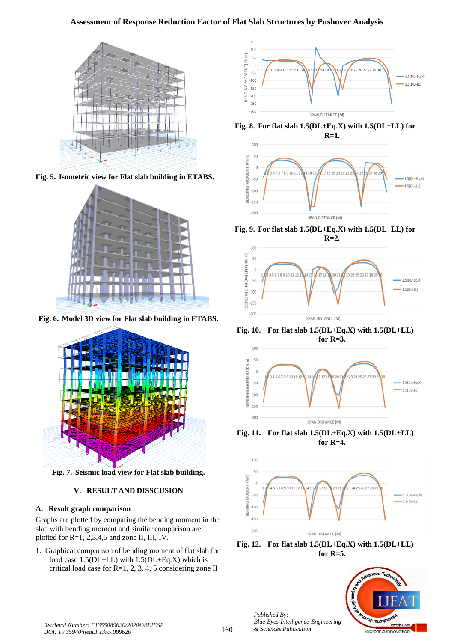## **Assessment of Response Reduction Factor of Flat Slab Structures by Pushover Analysis**



**Fig. 5. Isometric view for Flat slab building in ETABS.** 



**Fig. 6. Model 3D view for Flat slab building in ETABS.**



**Fig. 7. Seismic load view for Flat slab building.**

## **V. RESULT AND DISSCUSION**

## **A. Result graph comparison**

Graphs are plotted by comparing the bending moment in the slab with bending moment and similar comparison are plotted for R=1, 2,3,4,5 and zone II, III, IV.

1. Graphical comparison of bending moment of flat slab for load case 1.5(DL+LL) with 1.5(DL+Eq.X) which is critical load case for R=1, 2, 3, 4, 5 considering zone II



**Fig. 8. For flat slab 1.5(DL+Eq.X) with 1.5(DL+LL) for R=1.**



**Fig. 9. For flat slab 1.5(DL+Eq.X) with 1.5(DL+LL) for R=2.**



**Fig. 10. For flat slab 1.5(DL+Eq.X) with 1.5(DL+LL) for R=3.**



**Fig. 11. For flat slab 1.5(DL+Eq.X) with 1.5(DL+LL) for R=4.**







*Published By:*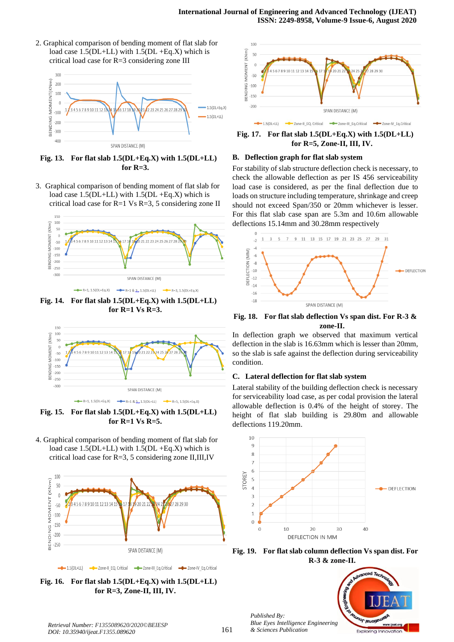2. Graphical comparison of bending moment of flat slab for load case 1.5(DL+LL) with 1.5(DL +Eq.X) which is critical load case for R=3 considering zone III



**Fig. 13. For flat slab 1.5(DL+Eq.X) with 1.5(DL+LL) for R=3.**

3. Graphical comparison of bending moment of flat slab for load case  $1.5(DL+LL)$  with  $1.5(DL+Eq.X)$  which is critical load case for R=1 Vs R=3, 5 considering zone II



**Fig. 14. For flat slab 1.5(DL+Eq.X) with 1.5(DL+LL) for R=1 Vs R=3.**



**Fig. 15. For flat slab 1.5(DL+Eq.X) with 1.5(DL+LL) for R=1 Vs R=5.**

4. Graphical comparison of bending moment of flat slab for load case  $1.5(DL+LL)$  with  $1.5(DL+Eq.X)$  which is critical load case for R=3, 5 considering zone II,III,IV



**Fig. 16. For flat slab 1.5(DL+Eq.X) with 1.5(DL+LL) for R=3, Zone-II, III, IV.**



**Fig. 17. For flat slab 1.5(DL+Eq.X) with 1.5(DL+LL) for R=5, Zone-II, III, IV.**

#### **B. Deflection graph for flat slab system**

For stability of slab structure deflection check is necessary, to check the allowable deflection as per IS 456 serviceability load case is considered, as per the final deflection due to loads on structure including temperature, shrinkage and creep should not exceed Span/350 or 20mm whichever is lesser. For this flat slab case span are 5.3m and 10.6m allowable deflections 15.14mm and 30.28mm respectively



**Fig. 18. For flat slab deflection Vs span dist. For R-3 & zone-II.**

In deflection graph we observed that maximum vertical deflection in the slab is 16.63mm which is lesser than 20mm, so the slab is safe against the deflection during serviceability condition.

#### **C. Lateral deflection for flat slab system**

Lateral stability of the building deflection check is necessary for serviceability load case, as per codal provision the lateral allowable deflection is 0.4% of the height of storey. The height of flat slab building is 29.80m and allowable deflections 119.20mm.



**Fig. 19. For flat slab column deflection Vs span dist. For R-3 & zone-II.**



*Retrieval Number: F1355089620/2020©BEIESP DOI: 10.35940/ijeat.F1355.089620*

*Published By:*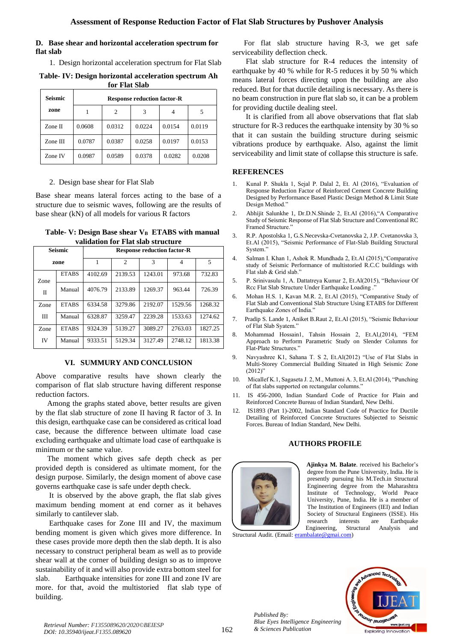## **D. Base shear and horizontal acceleration spectrum for flat slab**

1. Design horizontal acceleration spectrum for Flat Slab

**Table- IV: Design horizontal acceleration spectrum Ah for Flat Slab**

| Seismic  |        |        | <b>Response reduction factor-R</b> |        |        |
|----------|--------|--------|------------------------------------|--------|--------|
| zone     |        | 2      | 3                                  |        | 5      |
| Zone II  | 0.0608 | 0.0312 | 0.0224                             | 0.0154 | 0.0119 |
| Zone III | 0.0787 | 0.0387 | 0.0258                             | 0.0197 | 0.0153 |
| Zone IV  | 0.0987 | 0.0589 | 0.0378                             | 0.0282 | 0.0208 |

## 2. Design base shear for Flat Slab

Base shear means lateral forces acting to the base of a structure due to seismic waves, following are the results of base shear (kN) of all models for various R factors

| Table- V: Design Base shear V <sub>B</sub> ETABS with manual |  |
|--------------------------------------------------------------|--|
| validation for Flat slab structure                           |  |

| <b>Seismic</b> |              |         |         | <b>Response reduction factor-R</b> |         |         |
|----------------|--------------|---------|---------|------------------------------------|---------|---------|
| zone           |              | 1       | 2       | 3                                  | 4       | 5       |
| Zone           | <b>ETABS</b> | 4102.69 | 2139.53 | 1243.01                            | 973.68  | 732.83  |
| $\Pi$          | Manual       | 4076.79 | 2133.89 | 1269.37                            | 963.44  | 726.39  |
| Zone           | <b>ETABS</b> | 6334.58 | 3279.86 | 2192.07                            | 1529.56 | 1268.32 |
| ΠI             | Manual       | 6328.87 | 3259.47 | 2239.28                            | 1533.63 | 1274.62 |
| Zone           | <b>ETABS</b> | 9324.39 | 5139.27 | 3089.27                            | 2763.03 | 1827.25 |
| <b>IV</b>      | Manual       | 9333.51 | 5129.34 | 3127.49                            | 2748.12 | 1813.38 |

## **VI. SUMMURY AND CONCLUSION**

Above comparative results have shown clearly the comparison of flat slab structure having different response reduction factors.

 Among the graphs stated above, better results are given by the flat slab structure of zone II having R factor of 3. In this design, earthquake case can be considered as critical load case, because the difference between ultimate load case excluding earthquake and ultimate load case of earthquake is minimum or the same value.

 The moment which gives safe depth check as per provided depth is considered as ultimate moment, for the design purpose. Similarly, the design moment of above case governs earthquake case is safe under depth check.

 It is observed by the above graph, the flat slab gives maximum bending moment at end corner as it behaves similarly to cantilever slab.

 Earthquake cases for Zone III and IV, the maximum bending moment is given which gives more difference. In these cases provide more depth then the slab depth. It is also necessary to construct peripheral beam as well as to provide shear wall at the corner of building design so as to improve sustainability of it and will also provide extra bottom steel for slab. Earthquake intensities for zone III and zone IV are more. for that, avoid the multistoried flat slab type of building.

 For flat slab structure having R-3, we get safe serviceability deflection check.

 Flat slab structure for R-4 reduces the intensity of earthquake by 40 % while for R-5 reduces it by 50 % which means lateral forces directing upon the building are also reduced. But for that ductile detailing is necessary. As there is no beam construction in pure flat slab so, it can be a problem for providing ductile dealing steel.

 It is clarified from all above observations that flat slab structure for R-3 reduces the earthquake intensity by 30 % so that it can sustain the building structure during seismic vibrations produce by earthquake. Also, against the limit serviceability and limit state of collapse this structure is safe.

## **REFERENCES**

- 1. Kunal P. Shukla 1, Sejal P. Dalal 2, Et. Al (2016), "Evaluation of Response Reduction Factor of Reinforced Cement Concrete Building Designed by Performance Based Plastic Design Method & Limit State Design Method."
- 2. Abhijit Salunkhe 1, Dr.D.N.Shinde 2, Et.Al (2016),"A Comparative Study of Seismic Response of Flat Slab Structure and Conventional RC Framed Structure."
- 3. R.P. Apostolska 1, G.S.Necevska-Cvetanovska 2, J.P. Cvetanovska 3, Et.Al (2015), "Seismic Performance of Flat-Slab Building Structural System."
- 4. Salman I. Khan 1, Ashok R. Mundhada 2, Et.Al (2015),"Comparative study of Seismic Performance of multistoried R.C.C buildings with Flat slab & Grid slab."
- 5. P. Srinivasulu 1, A. Dattatreya Kumar 2, Et.Al(2015), "Behaviour Of Rcc Flat Slab Structure Under Earthquake Loading ."
- 6. Mohan H.S. 1, Kavan M.R. 2, Et.Al (2015), "Comparative Study of Flat Slab and Conventional Slab Structure Using ETABS for Different Earthquake Zones of India."
- 7. Pradip S. Lande 1, Aniket B.Raut 2, Et.Al (2015), "Seismic Behaviour of Flat Slab Syatem."
- 8. Mohammad Hossain1, Tahsin Hossain 2, Et.Al,(2014), "FEM Approach to Perform Parametric Study on Slender Columns for Flat-Plate Structures."
- 9. Navyashree K1, Sahana T. S 2, Et.Al(2012) "Use of Flat Slabs in Multi-Storey Commercial Building Situated in High Seismic Zone  $(2012)$ "
- 10. Micallef K.1, Sagaseta J. 2, M., Muttoni A. 3, Et.Al (2014), "Punching of flat slabs supported on rectangular columns."
- 11. IS 456-2000, Indian Standard Code of Practice for Plain and Reinforced Concrete Bureau of Indian Standard, New Delhi.
- 12. IS1893 (Part 1)-2002, Indian Standard Code of Practice for Ductile Detailing of Reinforced Concrete Structures Subjected to Seismic Forces. Bureau of Indian Standard, New Delhi.

## **AUTHORS PROFILE**



**Ajinkya M. Balate**. received his Bachelor's degree from the Pune University, India. He is presently pursuing his M.Tech.in Structural Engineering degree from the Maharashtra Institute of Technology, World Peace University, Pune, India. He is a member of The Institution of Engineers (IEI) and Indian Society of Structural Engineers (ISSE). His research interests are Earthquake Engineering, Structural Analysis and

Structural Audit. (Email: [erambalate@gmai.com\)](mailto:erambalate@gmai.com)



*Bute Eyes Intelligence*<br>Retrieval Number: F1355089620/2020©BEIESP<br>Research Research Research ASS of the Sciences Publication *DOI: 10.35940/ijeat.F1355.089620*